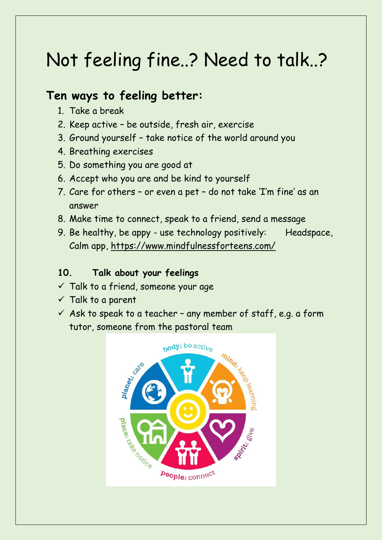# Not feeling fine..? Need to talk..?

#### **Ten ways to feeling better:**

- 1. Take a break
- 2. Keep active be outside, fresh air, exercise
- 3. Ground yourself take notice of the world around you
- 4. Breathing exercises
- 5. Do something you are good at
- 6. Accept who you are and be kind to yourself
- 7. Care for others or even a pet do not take 'I'm fine' as an answer
- 8. Make time to connect, speak to a friend, send a message
- 9. Be healthy, be appy use technology positively: Headspace, Calm app,<https://www.mindfulnessforteens.com/>

#### **10. Talk about your feelings**

- $\checkmark$  Talk to a friend, someone your age
- $\checkmark$  Talk to a parent
- $\checkmark$  Ask to speak to a teacher any member of staff, e.g. a form tutor, someone from the pastoral team